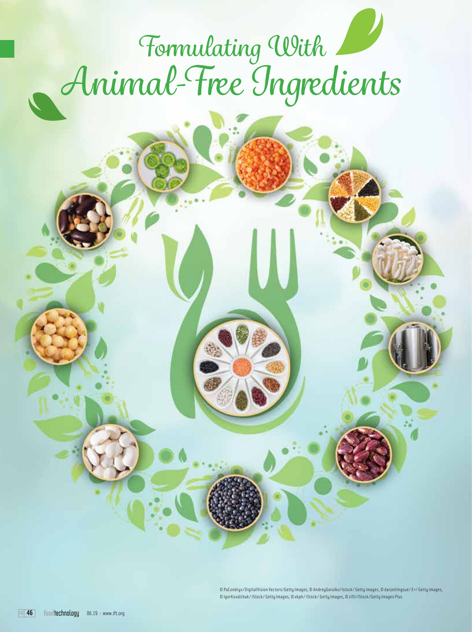# Formulating With

© PaCondryx/DigitalVision Vectors/Getty Images, © AndreyGorulko/istock/ Getty Images, © darjeelingsue/ E+/ Getty Images, © IgorKovalchuk/ iStock/ Getty Images, © vkph/ iStock/ Getty Images, © zilli/iStock/Getty Images Plus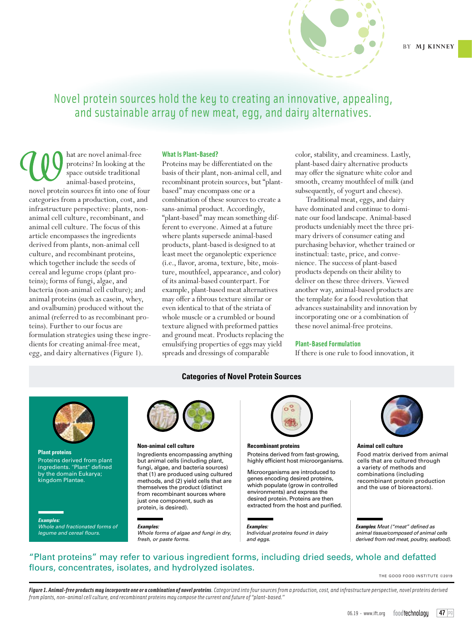

Novel protein sources hold the key to creating an innovative, appealing, and sustainable array of new meat, egg, and dairy alternatives.

hat are novel animal-free proteins? In looking at the space outside traditional animal-based proteins, novel protein sources fit into one of four categories from a production, cost, and infrastructure perspective: plants, nonanimal cell culture, recombinant, and animal cell culture. The focus of this article encompasses the ingredients derived from plants, non-animal cell culture, and recombinant proteins, which together include the seeds of cereal and legume crops (plant proteins); forms of fungi, algae, and bacteria (non-animal cell culture); and animal proteins (such as casein, whey, and ovalbumin) produced without the animal (referred to as recombinant proteins). Further to our focus are formulation strategies using these ingredients for creating animal-free meat, egg, and dairy alternatives (Figure 1).

### **What Is Plant-Based?**

Proteins may be differentiated on the basis of their plant, non-animal cell, and recombinant protein sources, but "plantbased" may encompass one or a combination of these sources to create a sans-animal product. Accordingly, "plant-based" may mean something different to everyone. Aimed at a future where plants supersede animal-based products, plant-based is designed to at least meet the organoleptic experience (i.e., flavor, aroma, texture, bite, moisture, mouthfeel, appearance, and color) of its animal-based counterpart. For example, plant-based meat alternatives may offer a fibrous texture similar or even identical to that of the striata of whole muscle or a crumbled or bound texture aligned with preformed patties and ground meat. Products replacing the emulsifying properties of eggs may yield spreads and dressings of comparable

color, stability, and creaminess. Lastly, plant-based dairy alternative products may offer the signature white color and smooth, creamy mouthfeel of milk (and subsequently, of yogurt and cheese).

Traditional meat, eggs, and dairy have dominated and continue to dominate our food landscape. Animal-based products undeniably meet the three primary drivers of consumer eating and purchasing behavior, whether trained or instinctual: taste, price, and convenience. The success of plant-based products depends on their ability to deliver on these three drivers. Viewed another way, animal-based products are the template for a food revolution that advances sustainability and innovation by incorporating one or a combination of these novel animal-free proteins.

#### **Plant-Based Formulation**

If there is one rule to food innovation, it

### **Categories of Novel Protein Sources**



**Plant proteins** Proteins derived from plant ingredients. "Plant" defined by the domain Eukarya; kingdom Plantae.

*Examples: Whole and fractionated forms of legume and cereal flours.*



#### **Non-animal cell culture**

Ingredients encompassing anything but animal cells (including plant, fungi, algae, and bacteria sources) that (1) are produced using cultured methods, and (2) yield cells that are themselves the product (distinct from recombinant sources where just one component, such as protein, is desired).

*Examples:* 

*Whole forms of algae and fungi in dry, fresh, or paste forms.*



## **Recombinant proteins**

Proteins derived from fast-growing, highly efficient host microorganisms.

Microorganisms are introduced to genes encoding desired proteins, which populate (grow in controlled environments) and express the desired protein. Proteins are then extracted from the host and purified.

### *Examples:*

*Individual proteins found in dairy and eggs.*



#### **Animal cell culture**

Food matrix derived from animal cells that are cultured through a variety of methods and combinations (including recombinant protein production and the use of bioreactors).

*Examples***:** *Meat ("meat" defined as animal tissue/composed of animal cells derived from red meat, poultry, seafood).* 

# "Plant proteins" may refer to various ingredient forms, including dried seeds, whole and defatted flours, concentrates, isolates, and hydrolyzed isolates.

THE GOOD FOOD INSTITUTE ©2019

*Figure 1. Animal-free products may incorporate one or a combination of novel proteins. Categorized into four sources from a production, cost, and infrastructure perspective, novel proteins derived from plants, non-animal cell culture, and recombinant proteins may compose the current and future of "plant-based."*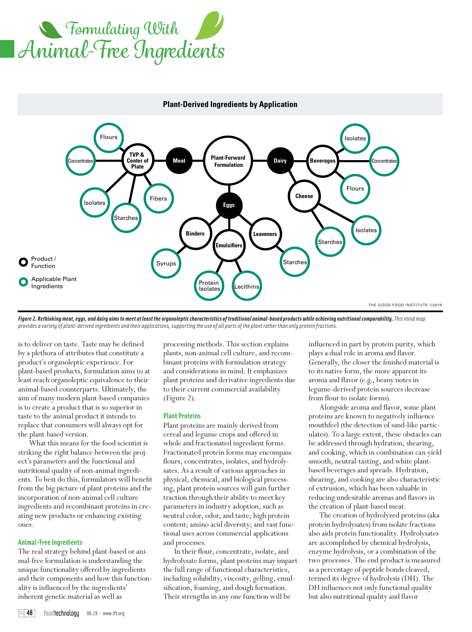



### **Plant-Derived Ingredients by Application**

*Figure 2. Rethinking meat, eggs, and dairy aims to meet at least the organoleptic characteristics of traditional animal-based products while achieving nutritional comparability. This mind map provides a variety of plant-derived ingredients and their applications, supporting the use of all parts of the plant rather than only protein fractions.* 

is to deliver on taste. Taste may be defined by a plethora of attributes that constitute a product's organoleptic experience. For plant-based products, formulation aims to at least reach organoleptic equivalence to their animal-based counterparts. Ultimately, the aim of many modern plant-based companies is to create a product that is so superior in taste to the animal product it intends to replace that consumers will always opt for the plant-based version.

What this means for the food scientist is striking the right balance between the project's parameters and the functional and nutritional quality of non-animal ingredients. To best do this, formulators will benefit from the big picture of plant proteins and the incorporation of non-animal cell culture ingredients and recombinant proteins in creating new products or enhancing existing ones.

#### **Animal-Free Ingredients**

The real strategy behind plant-based or animal-free formulation is understanding the unique functionality offered by ingredients and their components and how this functionality is influenced by the ingredients' inherent genetic material as well as

processing methods. This section explains plants, non-animal cell culture, and recombinant proteins with formulation strategy and considerations in mind. It emphasizes plant proteins and derivative ingredients due to their current commercial availability (Figure 2).

#### **Plant Proteins**

Plant proteins are mainly derived from cereal and legume crops and offered in whole and fractionated ingredient forms. Fractionated protein forms may encompass flours, concentrates, isolates, and hydrolysates. As a result of various approaches in physical, chemical, and biological processing, plant protein sources will gain further traction through their ability to meet key parameters in industry adoption, such as neutral color, odor, and taste; high protein content; amino acid diversity; and vast functional uses across commercial applications and processes.

In their flour, concentrate, isolate, and hydrolysate forms, plant proteins may impart the full range of functional characteristics, including solubility, viscosity, gelling, emulsification, foaming, and dough formation. Their strengths in any one function will be

influenced in part by protein purity, which plays a dual role in aroma and flavor. Generally, the closer the finished material is to its native form, the more apparent its aroma and flavor (e.g., beany notes in legume-derived protein sources decrease from flour to isolate forms).

Alongside aroma and flavor, some plant proteins are known to negatively influence mouthfeel (the detection of sand-like particulates). To a large extent, these obstacles can be addressed through hydration, shearing, and cooking, which in combination can yield smooth, neutral-tasting, and white plantbased beverages and spreads. Hydration, shearing, and cooking are also characteristic of extrusion, which has been valuable in reducing undesirable aromas and flavors in the creation of plant-based meat.

The creation of hydrolyzed proteins (aka protein hydrolysates) from isolate fractions also aids protein functionality. Hydrolysates are accomplished by chemical hydrolysis, enzyme hydrolysis, or a combination of the two processes. The end product is measured as a percentage of peptide bonds cleaved, termed its degree of hydrolysis (DH). The DH influences not only functional quality but also nutritional quality and flavor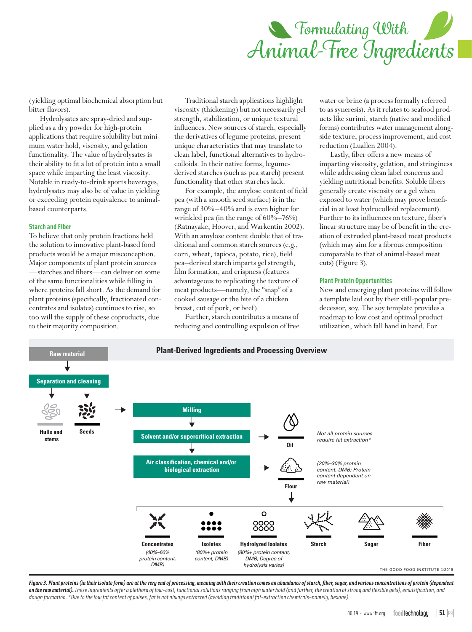

(yielding optimal biochemical absorption but bitter flavors).

Hydrolysates are spray-dried and supplied as a dry powder for high-protein applications that require solubility but minimum water hold, viscosity, and gelation functionality. The value of hydrolysates is their ability to fit a lot of protein into a small space while imparting the least viscosity. Notable in ready-to-drink sports beverages, hydrolysates may also be of value in yielding or exceeding protein equivalence to animalbased counterparts.

#### **Starch and Fiber**

To believe that only protein fractions held the solution to innovative plant-based food products would be a major misconception. Major components of plant protein sources —starches and fibers—can deliver on some of the same functionalities while filling in where proteins fall short. As the demand for plant proteins (specifically, fractionated concentrates and isolates) continues to rise, so too will the supply of these coproducts, due to their majority composition.

Traditional starch applications highlight viscosity (thickening) but not necessarily gel strength, stabilization, or unique textural influences. New sources of starch, especially the derivatives of legume proteins, present unique characteristics that may translate to clean label, functional alternatives to hydrocolloids. In their native forms, legumederived starches (such as pea starch) present functionality that other starches lack.

For example, the amylose content of field pea (with a smooth seed surface) is in the range of 30%–40% and is even higher for wrinkled pea (in the range of 60%–76%) (Ratnayake, Hoover, and Warkentin 2002). With an amylose content double that of traditional and common starch sources (e.g., corn, wheat, tapioca, potato, rice), field pea–derived starch imparts gel strength, film formation, and crispness (features advantageous to replicating the texture of meat products—namely, the "snap" of a cooked sausage or the bite of a chicken breast, cut of pork, or beef).

Further, starch contributes a means of reducing and controlling expulsion of free water or brine (a process formally referred to as syneresis). As it relates to seafood products like surimi, starch (native and modified forms) contributes water management alongside texture, process improvement, and cost reduction (Luallen 2004).

Lastly, fiber offers a new means of imparting viscosity, gelation, and stringiness while addressing clean label concerns and yielding nutritional benefits. Soluble fibers generally create viscosity or a gel when exposed to water (which may prove beneficial in at least hydrocolloid replacement). Further to its influences on texture, fiber's linear structure may be of benefit in the creation of extruded plant-based meat products (which may aim for a fibrous composition comparable to that of animal-based meat cuts) (Figure 3).

#### **Plant Protein Opportunities**

New and emerging plant proteins will follow a template laid out by their still-popular predecessor, soy. The soy template provides a roadmap to low cost and optimal product utilization, which fall hand in hand. For



*Figure 3. Plant proteins (in their isolate form) are at the very end of processing, meaning with their creation comes an abundance of starch, fiber, sugar, and various concentrations of protein (dependent on the raw material). These ingredients offer a plethora of low-cost, functional solutions ranging from high water hold (and further, the creation of strong and flexible gels), emulsification, and dough formation. \*Due to the low fat content of pulses, fat is not always extracted (avoiding traditional fat-extraction chemicals–namely, hexane).*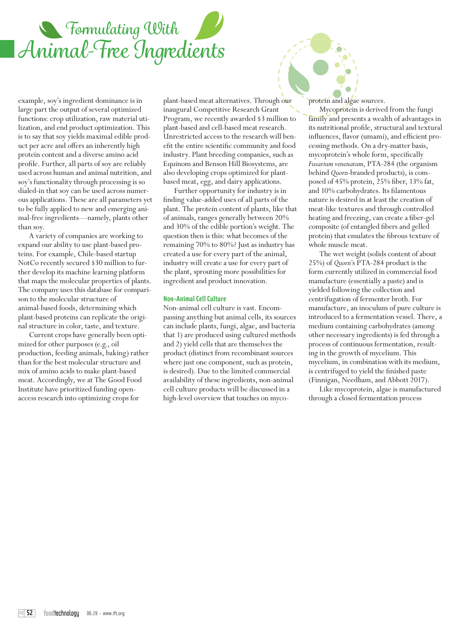

example, soy's ingredient dominance is in large part the output of several optimized functions: crop utilization, raw material utilization, and end product optimization. This is to say that soy yields maximal edible product per acre and offers an inherently high protein content and a diverse amino acid profile. Further, all parts of soy are reliably used across human and animal nutrition, and soy's functionality through processing is so dialed-in that soy can be used across numerous applications. These are all parameters yet to be fully applied to new and emerging animal-free ingredients—namely, plants other than soy.

A variety of companies are working to expand our ability to use plant-based proteins. For example, Chile-based startup NotCo recently secured \$30 million to further develop its machine learning platform that maps the molecular properties of plants. The company uses this database for comparison to the molecular structure of animal-based foods, determining which plant-based proteins can replicate the original structure in color, taste, and texture.

Current crops have generally been optimized for other purposes (e.g., oil production, feeding animals, baking) rather than for the best molecular structure and mix of amino acids to make plant-based meat. Accordingly, we at The Good Food Institute have prioritized funding openaccess research into optimizing crops for

plant-based meat alternatives. Through our inaugural Competitive Research Grant Program, we recently awarded \$3 million to plant-based and cell-based meat research. Unrestricted access to the research will benefit the entire scientific community and food industry. Plant breeding companies, such as Equinom and Benson Hill Biosystems, are also developing crops optimized for plantbased meat, egg, and dairy applications.

Further opportunity for industry is in finding value-added uses of all parts of the plant. The protein content of plants, like that of animals, ranges generally between 20% and 30% of the edible portion's weight. The question then is this: what becomes of the remaining 70% to 80%? Just as industry has created a use for every part of the animal, industry will create a use for every part of the plant, sprouting more possibilities for ingredient and product innovation.

#### **Non-Animal Cell Culture**

Non-animal cell culture is vast. Encompassing anything but animal cells, its sources can include plants, fungi, algae, and bacteria that 1) are produced using cultured methods and 2) yield cells that are themselves the product (distinct from recombinant sources where just one component, such as protein, is desired). Due to the limited commercial availability of these ingredients, non-animal cell culture products will be discussed in a high-level overview that touches on mycoprotein and algae sources.

Mycoprotein is derived from the fungi family and presents a wealth of advantages in its nutritional profile, structural and textural influences, flavor (umami), and efficient processing methods. On a dry-matter basis, mycoprotein's whole form, specifically *Fusarium venenatum*, PTA-284 (the organism behind *Quorn*-branded products), is composed of 45% protein, 25% fiber, 13% fat, and 10% carbohydrates. Its filamentous nature is desired in at least the creation of meat-like textures and through controlled heating and freezing, can create a fiber-gel composite (of entangled fibers and gelled protein) that emulates the fibrous texture of whole muscle meat.

The wet weight (solids content of about 25%) of *Quorn'*s PTA-284 product is the form currently utilized in commercial food manufacture (essentially a paste) and is yielded following the collection and centrifugation of fermenter broth. For manufacture, an inoculum of pure culture is introduced to a fermentation vessel. There, a medium containing carbohydrates (among other necessary ingredients) is fed through a process of continuous fermentation, resulting in the growth of mycelium. This mycelium, in combination with its medium, is centrifuged to yield the finished paste (Finnigan, Needham, and Abbott 2017).

Like mycoprotein, algae is manufactured through a closed fermentation process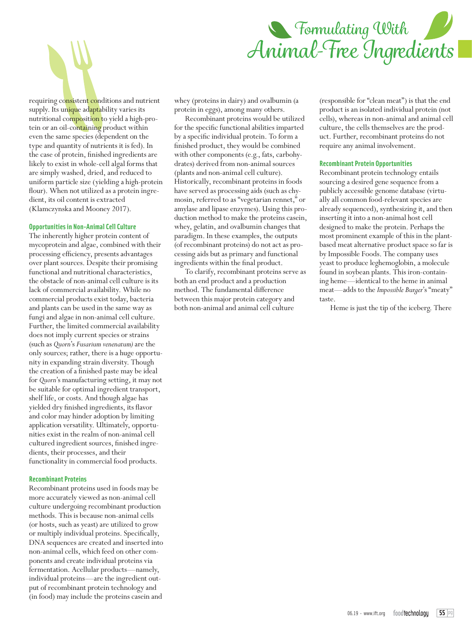

requiring consistent conditions and nutrient supply. Its unique adaptability varies its nutritional composition to yield a high-protein or an oil-containing product within even the same species (dependent on the type and quantity of nutrients it is fed). In the case of protein, finished ingredients are likely to exist in whole-cell algal forms that are simply washed, dried, and reduced to uniform particle size (yielding a high-protein flour). When not utilized as a protein ingredient, its oil content is extracted (Klamczynska and Mooney 2017).

#### **Opportunities in Non-Animal Cell Culture**

The inherently higher protein content of mycoprotein and algae, combined with their processing efficiency, presents advantages over plant sources. Despite their promising functional and nutritional characteristics, the obstacle of non-animal cell culture is its lack of commercial availability. While no commercial products exist today, bacteria and plants can be used in the same way as fungi and algae in non-animal cell culture. Further, the limited commercial availability does not imply current species or strains (such as *Quorn*'s *Fusarium venenatum)* are the only sources; rather, there is a huge opportunity in expanding strain diversity. Though the creation of a finished paste may be ideal for *Quorn*'s manufacturing setting, it may not be suitable for optimal ingredient transport, shelf life, or costs. And though algae has yielded dry finished ingredients, its flavor and color may hinder adoption by limiting application versatility. Ultimately, opportunities exist in the realm of non-animal cell cultured ingredient sources, finished ingredients, their processes, and their functionality in commercial food products.

#### **Recombinant Proteins**

Recombinant proteins used in foods may be more accurately viewed as non-animal cell culture undergoing recombinant production methods. This is because non-animal cells (or hosts, such as yeast) are utilized to grow or multiply individual proteins. Specifically, DNA sequences are created and inserted into non-animal cells, which feed on other components and create individual proteins via fermentation. Acellular products—namely, individual proteins—are the ingredient output of recombinant protein technology and (in food) may include the proteins casein and

whey (proteins in dairy) and ovalbumin (a protein in eggs), among many others.

Recombinant proteins would be utilized for the specific functional abilities imparted by a specific individual protein. To form a finished product, they would be combined with other components (e.g., fats, carbohydrates) derived from non-animal sources (plants and non-animal cell culture). Historically, recombinant proteins in foods have served as processing aids (such as chymosin, referred to as "vegetarian rennet," or amylase and lipase enzymes). Using this production method to make the proteins casein, whey, gelatin, and ovalbumin changes that paradigm. In these examples, the outputs (of recombinant proteins) do not act as processing aids but as primary and functional ingredients within the final product.

To clarify, recombinant proteins serve as both an end product and a production method. The fundamental difference between this major protein category and both non-animal and animal cell culture

(responsible for "clean meat") is that the end product is an isolated individual protein (not cells), whereas in non-animal and animal cell culture, the cells themselves are the product. Further, recombinant proteins do not require any animal involvement.

#### **Recombinant Protein Opportunities**

Recombinant protein technology entails sourcing a desired gene sequence from a publicly accessible genome database (virtually all common food-relevant species are already sequenced), synthesizing it, and then inserting it into a non-animal host cell designed to make the protein. Perhaps the most prominent example of this in the plantbased meat alternative product space so far is by Impossible Foods. The company uses yeast to produce leghemoglobin, a molecule found in soybean plants. This iron-containing heme—identical to the heme in animal meat—adds to the *Impossible Burger*'s "meaty" taste.

Heme is just the tip of the iceberg. There